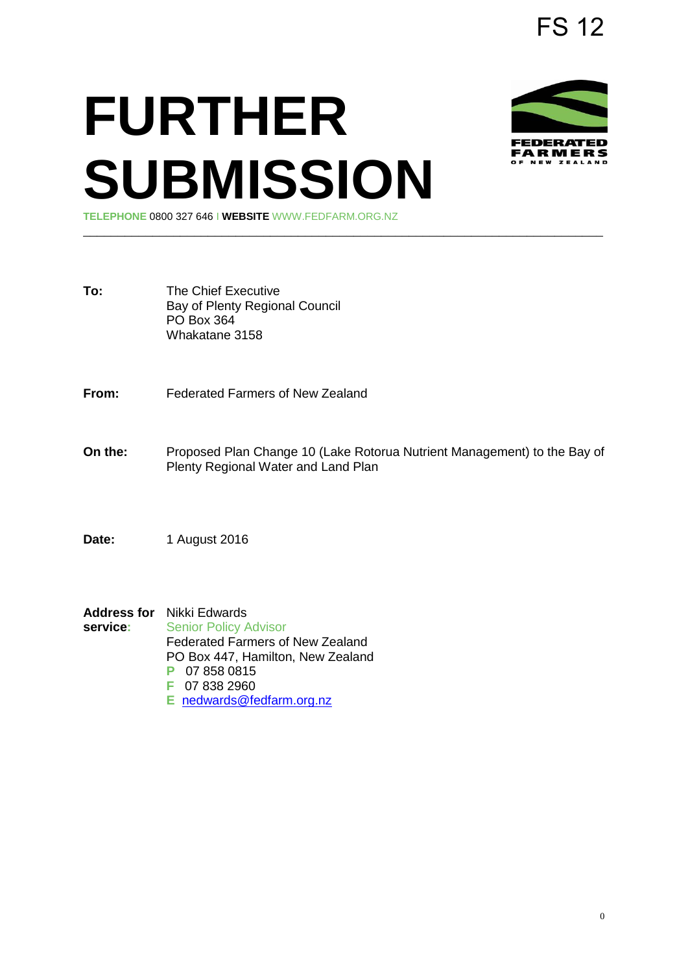## **FURTHER SUBMISSION TELEPHONE** 0800 327 646 I **WEBSITE** WWW.FEDFARM.ORG.NZ

**To:** The Chief Executive Bay of Plenty Regional Council PO Box 364 Whakatane 3158

**From:** Federated Farmers of New Zealand

**On the:** Proposed Plan Change 10 (Lake Rotorua Nutrient Management) to the Bay of Plenty Regional Water and Land Plan

\_\_\_\_\_\_\_\_\_\_\_\_\_\_\_\_\_\_\_\_\_\_\_\_\_\_\_\_\_\_\_\_\_\_\_\_\_\_\_\_\_\_\_\_\_\_\_\_\_\_\_\_\_\_\_\_\_\_\_\_\_\_\_\_\_\_\_\_\_\_\_\_\_\_\_

**Date:** 1 August 2016

**Address for** Nikki Edwards<br>service: Senior Policy **Senior Policy Advisor** Federated Farmers of New Zealand PO Box 447, Hamilton, New Zealand **P** 07 858 0815 **F** 07 838 2960 **E** [nedwards@fedfarm.org.nz](mailto:nedwards@fedfarm.org.nz) 





FARMERS

FS 12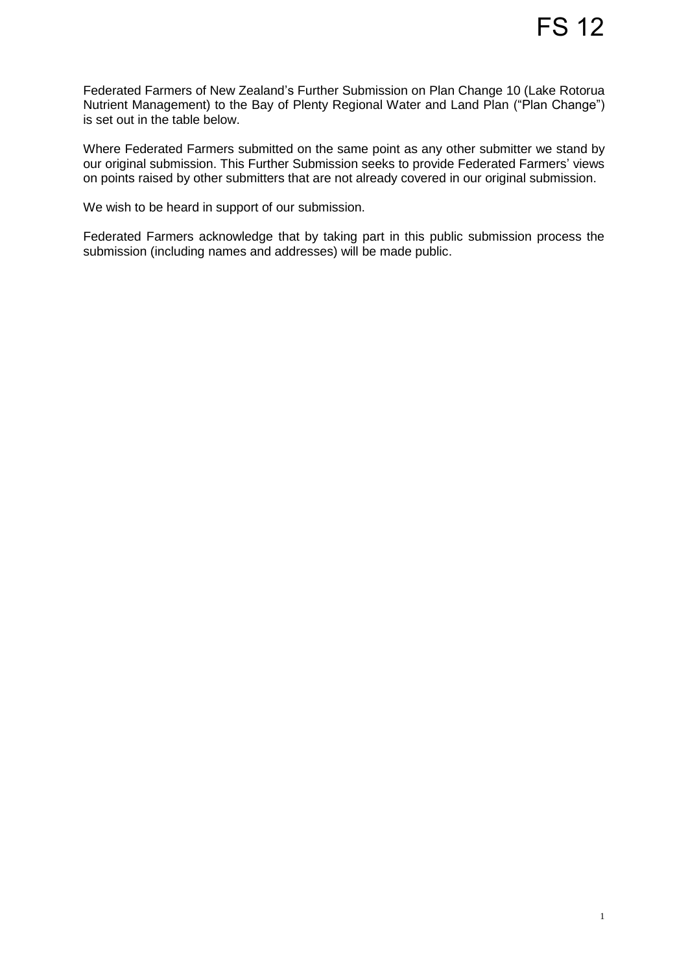Federated Farmers of New Zealand's Further Submission on Plan Change 10 (Lake Rotorua Nutrient Management) to the Bay of Plenty Regional Water and Land Plan ("Plan Change") is set out in the table below.

Where Federated Farmers submitted on the same point as any other submitter we stand by our original submission. This Further Submission seeks to provide Federated Farmers' views on points raised by other submitters that are not already covered in our original submission.

We wish to be heard in support of our submission.

Federated Farmers acknowledge that by taking part in this public submission process the submission (including names and addresses) will be made public.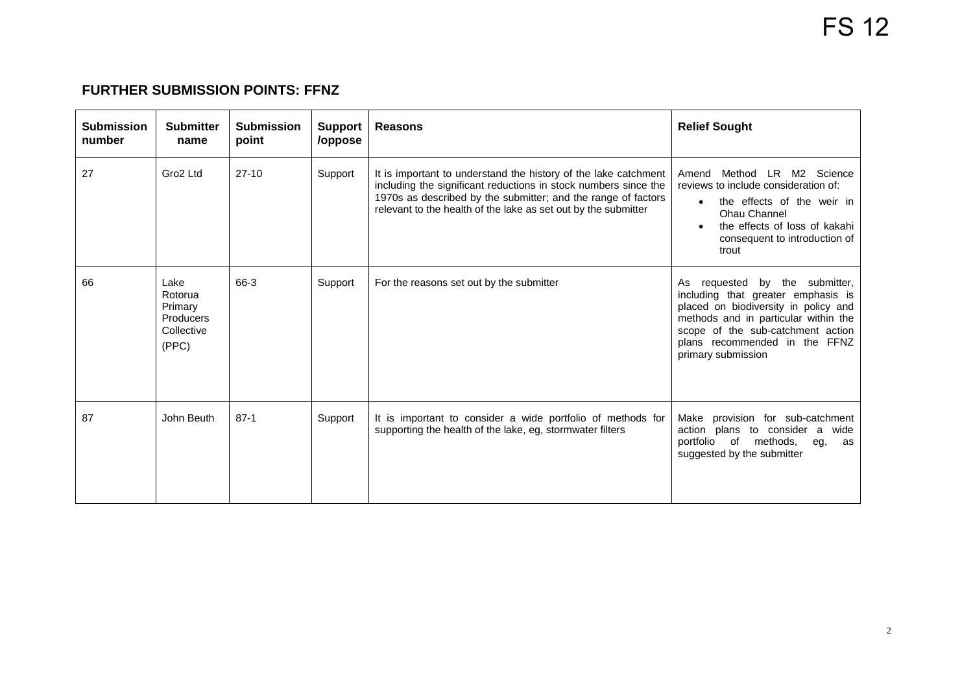## **FURTHER SUBMISSION POINTS: FFNZ**

| <b>Submission</b><br>number | <b>Submitter</b><br>name                                       | <b>Submission</b><br>point | <b>Support</b><br>/oppose | <b>Reasons</b>                                                                                                                                                                                                                                                        | <b>Relief Sought</b>                                                                                                                                                                                                                             |
|-----------------------------|----------------------------------------------------------------|----------------------------|---------------------------|-----------------------------------------------------------------------------------------------------------------------------------------------------------------------------------------------------------------------------------------------------------------------|--------------------------------------------------------------------------------------------------------------------------------------------------------------------------------------------------------------------------------------------------|
| 27                          | Gro2 Ltd                                                       | $27-10$                    | Support                   | It is important to understand the history of the lake catchment<br>including the significant reductions in stock numbers since the<br>1970s as described by the submitter; and the range of factors<br>relevant to the health of the lake as set out by the submitter | Method LR M2 Science<br>Amend<br>reviews to include consideration of:<br>the effects of the weir in<br>Ohau Channel<br>the effects of loss of kakahi<br>consequent to introduction of<br>trout                                                   |
| 66                          | Lake<br>Rotorua<br>Primary<br>Producers<br>Collective<br>(PPC) | 66-3                       | Support                   | For the reasons set out by the submitter                                                                                                                                                                                                                              | As requested by the submitter,<br>including that greater emphasis is<br>placed on biodiversity in policy and<br>methods and in particular within the<br>scope of the sub-catchment action<br>plans recommended in the FFNZ<br>primary submission |
| 87                          | John Beuth                                                     | $87-1$                     | Support                   | It is important to consider a wide portfolio of methods for<br>supporting the health of the lake, eg, stormwater filters                                                                                                                                              | Make provision for sub-catchment<br>action plans to consider a<br>wide<br>portfolio of methods,<br>eg,<br>as<br>suggested by the submitter                                                                                                       |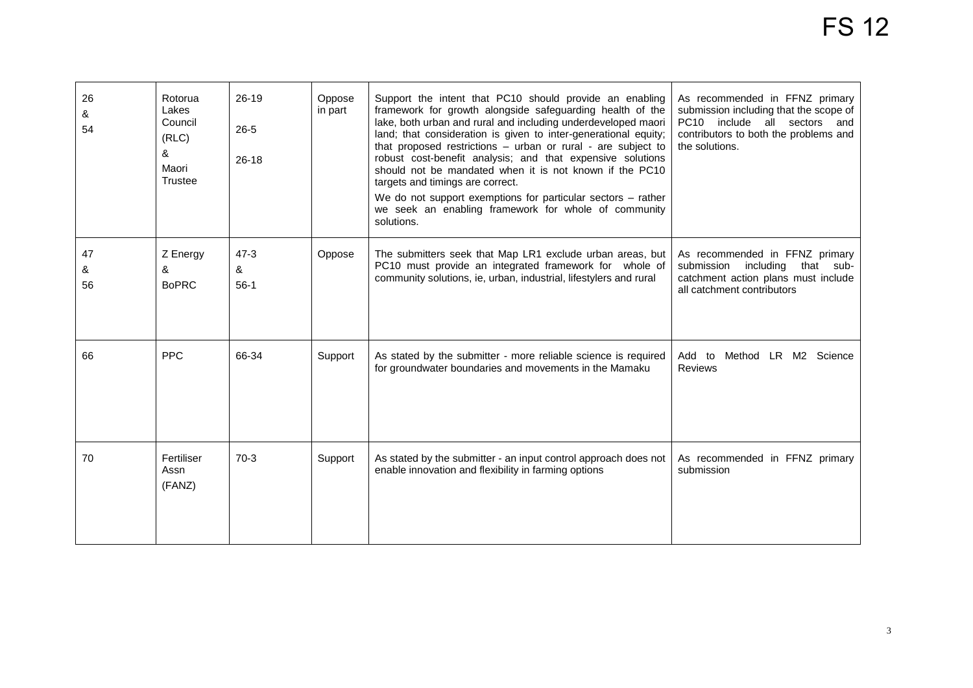| 26<br>&<br>54 | Rotorua<br>Lakes<br>Council<br>(RLC)<br>&<br>Maori<br>Trustee | $26-19$<br>$26 - 5$<br>$26 - 18$ | Oppose<br>in part | Support the intent that PC10 should provide an enabling<br>framework for growth alongside safeguarding health of the<br>lake, both urban and rural and including underdeveloped maori<br>land; that consideration is given to inter-generational equity;<br>that proposed restrictions - urban or rural - are subject to<br>robust cost-benefit analysis; and that expensive solutions<br>should not be mandated when it is not known if the PC10<br>targets and timings are correct.<br>We do not support exemptions for particular sectors - rather<br>we seek an enabling framework for whole of community<br>solutions. | As recommended in FFNZ primary<br>submission including that the scope of<br>PC10 include all sectors and<br>contributors to both the problems and<br>the solutions. |
|---------------|---------------------------------------------------------------|----------------------------------|-------------------|-----------------------------------------------------------------------------------------------------------------------------------------------------------------------------------------------------------------------------------------------------------------------------------------------------------------------------------------------------------------------------------------------------------------------------------------------------------------------------------------------------------------------------------------------------------------------------------------------------------------------------|---------------------------------------------------------------------------------------------------------------------------------------------------------------------|
| 47<br>&<br>56 | Z Energy<br>&<br><b>BoPRC</b>                                 | $47 - 3$<br>&<br>$56-1$          | Oppose            | The submitters seek that Map LR1 exclude urban areas, but<br>PC10 must provide an integrated framework for whole of<br>community solutions, ie, urban, industrial, lifestylers and rural                                                                                                                                                                                                                                                                                                                                                                                                                                    | As recommended in FFNZ primary<br>including that sub-<br>submission<br>catchment action plans must include<br>all catchment contributors                            |
| 66            | <b>PPC</b>                                                    | 66-34                            | Support           | As stated by the submitter - more reliable science is required<br>for groundwater boundaries and movements in the Mamaku                                                                                                                                                                                                                                                                                                                                                                                                                                                                                                    | Method LR M2 Science<br>Add to<br>Reviews                                                                                                                           |
| 70            | Fertiliser<br>Assn<br>(FANZ)                                  | $70-3$                           | Support           | As stated by the submitter - an input control approach does not<br>enable innovation and flexibility in farming options                                                                                                                                                                                                                                                                                                                                                                                                                                                                                                     | As recommended in FFNZ primary<br>submission                                                                                                                        |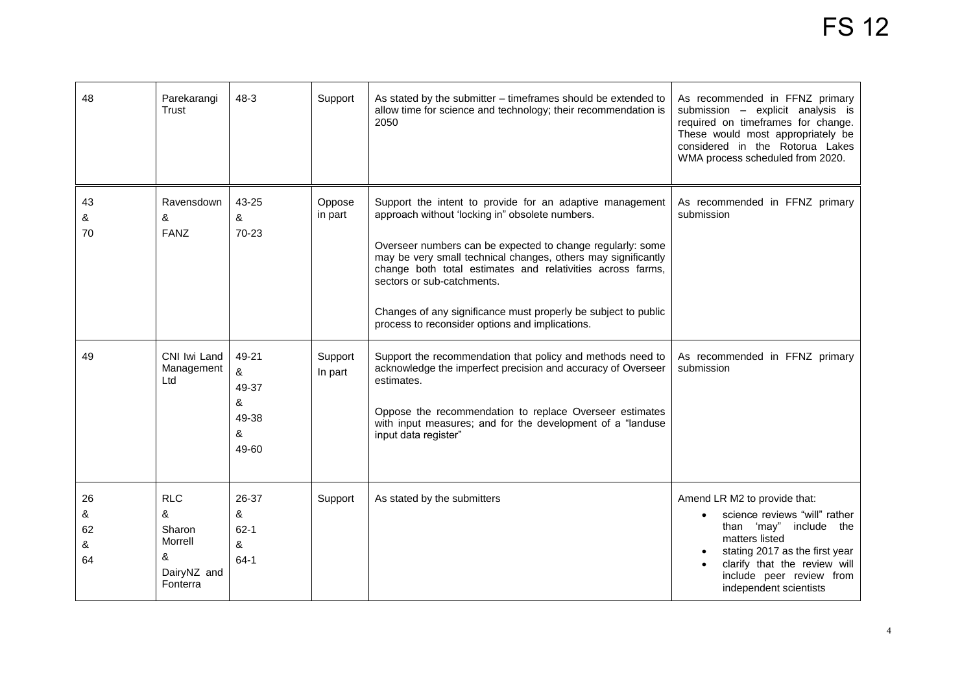| 48                       | Parekarangi<br>Trust                                                 | $48 - 3$                                        | Support            | As stated by the submitter – timeframes should be extended to<br>allow time for science and technology; their recommendation is<br>2050                                                                                                                                                                                                                                                                                                                     | As recommended in FFNZ primary<br>submission - explicit analysis is<br>required on timeframes for change.<br>These would most appropriately be<br>considered in the Rotorua Lakes<br>WMA process scheduled from 2020.                |
|--------------------------|----------------------------------------------------------------------|-------------------------------------------------|--------------------|-------------------------------------------------------------------------------------------------------------------------------------------------------------------------------------------------------------------------------------------------------------------------------------------------------------------------------------------------------------------------------------------------------------------------------------------------------------|--------------------------------------------------------------------------------------------------------------------------------------------------------------------------------------------------------------------------------------|
| 43<br>&<br>70            | Ravensdown<br>&<br><b>FANZ</b>                                       | 43-25<br>&<br>70-23                             | Oppose<br>in part  | Support the intent to provide for an adaptive management<br>approach without 'locking in" obsolete numbers.<br>Overseer numbers can be expected to change regularly: some<br>may be very small technical changes, others may significantly<br>change both total estimates and relativities across farms,<br>sectors or sub-catchments.<br>Changes of any significance must properly be subject to public<br>process to reconsider options and implications. | As recommended in FFNZ primary<br>submission                                                                                                                                                                                         |
| 49                       | CNI Iwi Land<br>Management<br>Ltd                                    | 49-21<br>&<br>49-37<br>&<br>49-38<br>&<br>49-60 | Support<br>In part | Support the recommendation that policy and methods need to<br>acknowledge the imperfect precision and accuracy of Overseer<br>estimates.<br>Oppose the recommendation to replace Overseer estimates<br>with input measures; and for the development of a "landuse<br>input data register"                                                                                                                                                                   | As recommended in FFNZ primary<br>submission                                                                                                                                                                                         |
| 26<br>&<br>62<br>&<br>64 | <b>RLC</b><br>&<br>Sharon<br>Morrell<br>&<br>DairyNZ and<br>Fonterra | 26-37<br>&<br>$62 - 1$<br>&<br>$64-1$           | Support            | As stated by the submitters                                                                                                                                                                                                                                                                                                                                                                                                                                 | Amend LR M2 to provide that:<br>science reviews "will" rather<br>than 'may" include<br>the<br>matters listed<br>stating 2017 as the first year<br>clarify that the review will<br>include peer review from<br>independent scientists |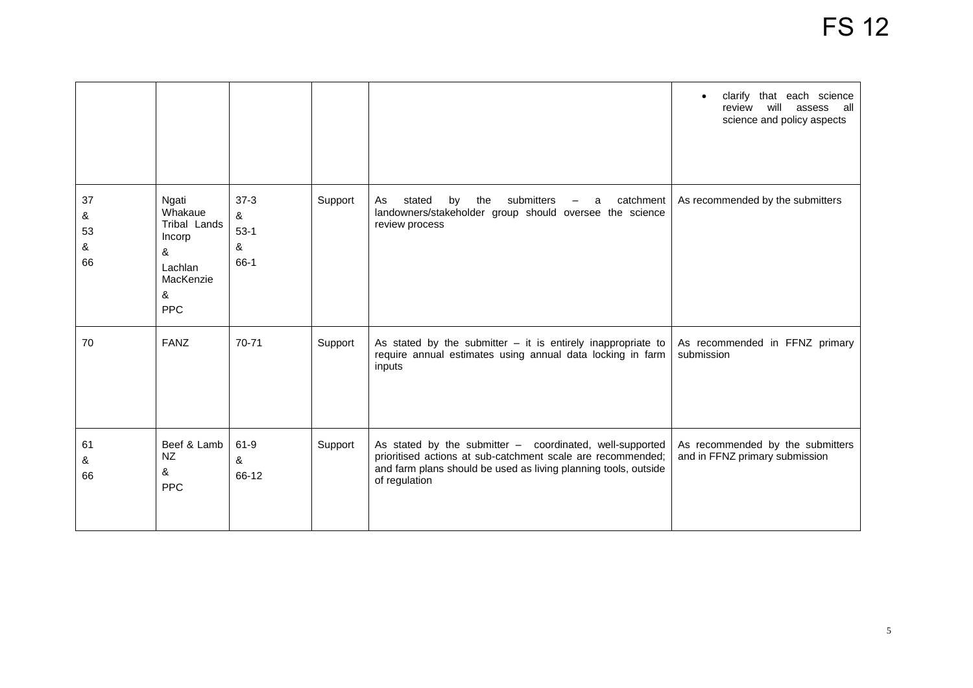|                          |                                                                                            |                                    |         |                                                                                                                                                                                                             | clarify that each science<br>review<br>will<br>assess all<br>science and policy aspects |
|--------------------------|--------------------------------------------------------------------------------------------|------------------------------------|---------|-------------------------------------------------------------------------------------------------------------------------------------------------------------------------------------------------------------|-----------------------------------------------------------------------------------------|
| 37<br>&<br>53<br>&<br>66 | Ngati<br>Whakaue<br>Tribal Lands<br>Incorp<br>&<br>Lachlan<br>MacKenzie<br>&<br><b>PPC</b> | $37-3$<br>&<br>$53-1$<br>&<br>66-1 | Support | the<br>submitters<br>catchment<br>stated<br>by<br>As<br>a<br>landowners/stakeholder group should oversee the science<br>review process                                                                      | As recommended by the submitters                                                        |
| 70                       | <b>FANZ</b>                                                                                | 70-71                              | Support | As stated by the submitter $-$ it is entirely inappropriate to<br>require annual estimates using annual data locking in farm<br>inputs                                                                      | As recommended in FFNZ primary<br>submission                                            |
| 61<br>&<br>66            | Beef & Lamb<br><b>NZ</b><br>&<br><b>PPC</b>                                                | 61-9<br>&<br>66-12                 | Support | As stated by the submitter - coordinated, well-supported<br>prioritised actions at sub-catchment scale are recommended;<br>and farm plans should be used as living planning tools, outside<br>of regulation | As recommended by the submitters<br>and in FFNZ primary submission                      |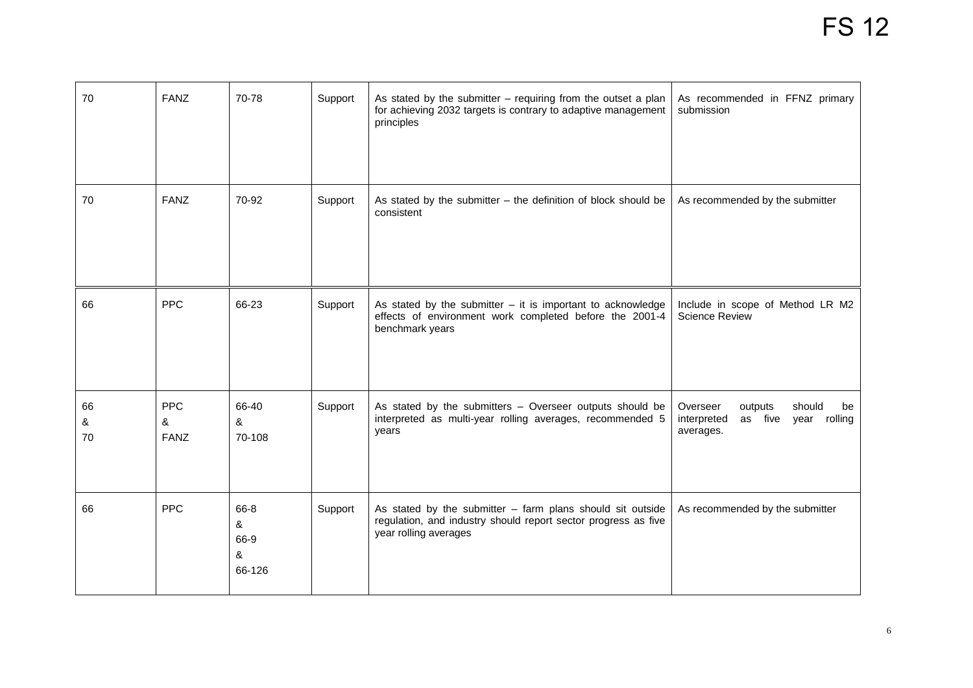| 70            | <b>FANZ</b>                    | 70-78                            | Support | As stated by the submitter - requiring from the outset a plan<br>for achieving 2032 targets is contrary to adaptive management<br>principles            | As recommended in FFNZ primary<br>submission                                                  |
|---------------|--------------------------------|----------------------------------|---------|---------------------------------------------------------------------------------------------------------------------------------------------------------|-----------------------------------------------------------------------------------------------|
| 70            | <b>FANZ</b>                    | 70-92                            | Support | As stated by the submitter $-$ the definition of block should be<br>consistent                                                                          | As recommended by the submitter                                                               |
| 66            | <b>PPC</b>                     | 66-23                            | Support | As stated by the submitter $-$ it is important to acknowledge<br>effects of environment work completed before the 2001-4<br>benchmark years             | Include in scope of Method LR M2<br><b>Science Review</b>                                     |
| 66<br>&<br>70 | <b>PPC</b><br>&<br><b>FANZ</b> | 66-40<br>&<br>70-108             | Support | As stated by the submitters - Overseer outputs should be<br>interpreted as multi-year rolling averages, recommended 5<br>years                          | Overseer<br>should<br>outputs<br>be<br>interpreted<br>as five<br>rolling<br>year<br>averages. |
| 66            | <b>PPC</b>                     | 66-8<br>&<br>66-9<br>&<br>66-126 | Support | As stated by the submitter $-$ farm plans should sit outside<br>regulation, and industry should report sector progress as five<br>year rolling averages | As recommended by the submitter                                                               |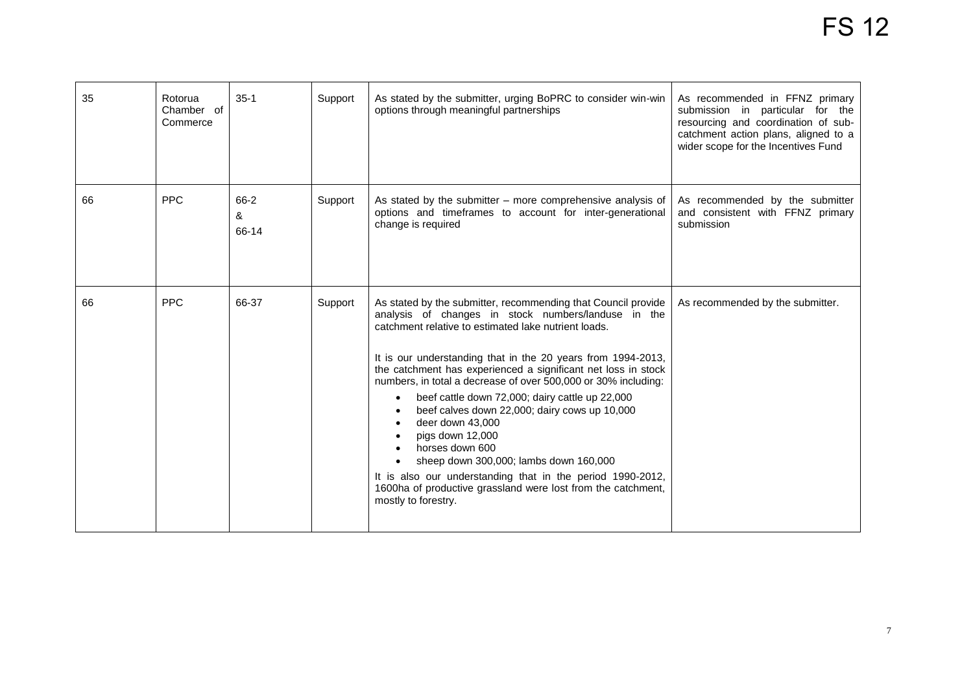| 35 | Rotorua<br>Chamber of<br>Commerce | $35-1$             | Support | As stated by the submitter, urging BoPRC to consider win-win<br>options through meaningful partnerships                                                                                                                                                                                                                                                                                                                                                                                                                                                                                                                                                                                                                                                    | As recommended in FFNZ primary<br>submission in particular for the<br>resourcing and coordination of sub-<br>catchment action plans, aligned to a<br>wider scope for the Incentives Fund |
|----|-----------------------------------|--------------------|---------|------------------------------------------------------------------------------------------------------------------------------------------------------------------------------------------------------------------------------------------------------------------------------------------------------------------------------------------------------------------------------------------------------------------------------------------------------------------------------------------------------------------------------------------------------------------------------------------------------------------------------------------------------------------------------------------------------------------------------------------------------------|------------------------------------------------------------------------------------------------------------------------------------------------------------------------------------------|
| 66 | <b>PPC</b>                        | 66-2<br>&<br>66-14 | Support | As stated by the submitter - more comprehensive analysis of<br>options and timeframes to account for inter-generational<br>change is required                                                                                                                                                                                                                                                                                                                                                                                                                                                                                                                                                                                                              | As recommended by the submitter<br>and consistent with FFNZ primary<br>submission                                                                                                        |
| 66 | <b>PPC</b>                        | 66-37              | Support | As stated by the submitter, recommending that Council provide<br>analysis of changes in stock numbers/landuse in the<br>catchment relative to estimated lake nutrient loads.<br>It is our understanding that in the 20 years from 1994-2013,<br>the catchment has experienced a significant net loss in stock<br>numbers, in total a decrease of over 500,000 or 30% including:<br>beef cattle down 72,000; dairy cattle up 22,000<br>$\bullet$<br>beef calves down 22,000; dairy cows up 10,000<br>deer down 43,000<br>pigs down 12,000<br>horses down 600<br>sheep down 300,000; lambs down 160,000<br>It is also our understanding that in the period 1990-2012,<br>1600ha of productive grassland were lost from the catchment,<br>mostly to forestry. | As recommended by the submitter.                                                                                                                                                         |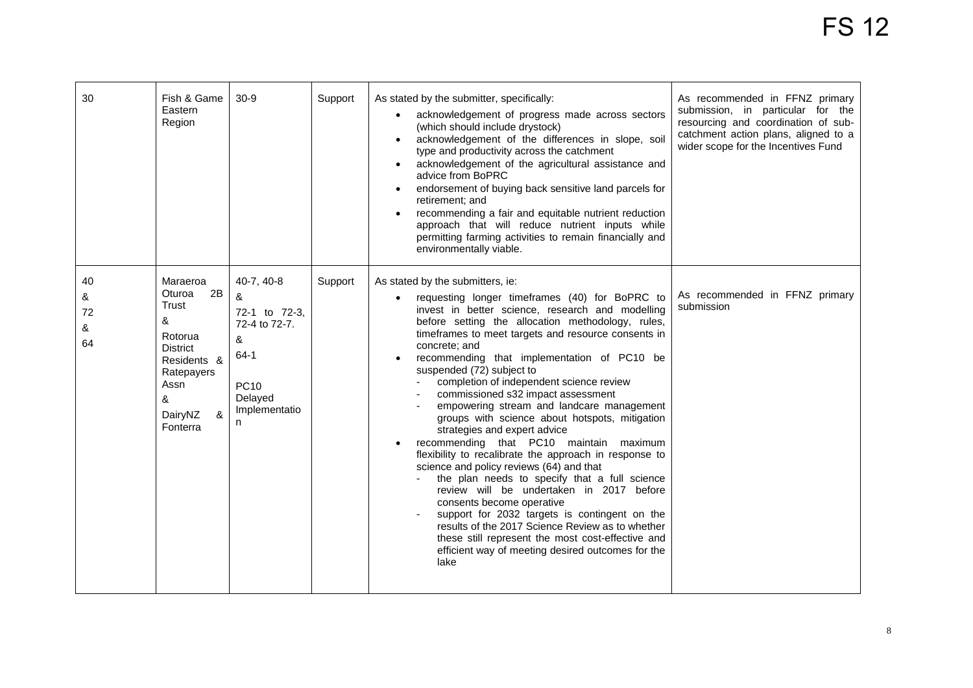| 30                       | Fish & Game<br>Eastern<br>Region                                                                                                           | $30-9$                                                                                                           | Support | As stated by the submitter, specifically:<br>acknowledgement of progress made across sectors<br>(which should include drystock)<br>acknowledgement of the differences in slope, soil<br>$\bullet$<br>type and productivity across the catchment<br>acknowledgement of the agricultural assistance and<br>$\bullet$<br>advice from BoPRC<br>endorsement of buying back sensitive land parcels for<br>$\bullet$<br>retirement; and<br>recommending a fair and equitable nutrient reduction<br>$\bullet$<br>approach that will reduce nutrient inputs while<br>permitting farming activities to remain financially and<br>environmentally viable.                                                                                                                                                                                                                                                                                                                                                                                                                                  | As recommended in FFNZ primary<br>submission, in particular for the<br>resourcing and coordination of sub-<br>catchment action plans, aligned to a<br>wider scope for the Incentives Fund |
|--------------------------|--------------------------------------------------------------------------------------------------------------------------------------------|------------------------------------------------------------------------------------------------------------------|---------|---------------------------------------------------------------------------------------------------------------------------------------------------------------------------------------------------------------------------------------------------------------------------------------------------------------------------------------------------------------------------------------------------------------------------------------------------------------------------------------------------------------------------------------------------------------------------------------------------------------------------------------------------------------------------------------------------------------------------------------------------------------------------------------------------------------------------------------------------------------------------------------------------------------------------------------------------------------------------------------------------------------------------------------------------------------------------------|-------------------------------------------------------------------------------------------------------------------------------------------------------------------------------------------|
| 40<br>&<br>72<br>&<br>64 | Maraeroa<br>2B<br>Oturoa<br>Trust<br>&<br>Rotorua<br><b>District</b><br>Residents &<br>Ratepayers<br>Assn<br>&<br>DairyNZ<br>&<br>Fonterra | 40-7, 40-8<br>&<br>72-1 to 72-3,<br>72-4 to 72-7.<br>&<br>$64-1$<br><b>PC10</b><br>Delayed<br>Implementatio<br>n | Support | As stated by the submitters, ie:<br>requesting longer timeframes (40) for BoPRC to<br>invest in better science, research and modelling<br>before setting the allocation methodology, rules,<br>timeframes to meet targets and resource consents in<br>concrete: and<br>recommending that implementation of PC10 be<br>$\bullet$<br>suspended (72) subject to<br>completion of independent science review<br>commissioned s32 impact assessment<br>empowering stream and landcare management<br>groups with science about hotspots, mitigation<br>strategies and expert advice<br>recommending that PC10 maintain maximum<br>flexibility to recalibrate the approach in response to<br>science and policy reviews (64) and that<br>the plan needs to specify that a full science<br>review will be undertaken in 2017 before<br>consents become operative<br>support for 2032 targets is contingent on the<br>results of the 2017 Science Review as to whether<br>these still represent the most cost-effective and<br>efficient way of meeting desired outcomes for the<br>lake | As recommended in FFNZ primary<br>submission                                                                                                                                              |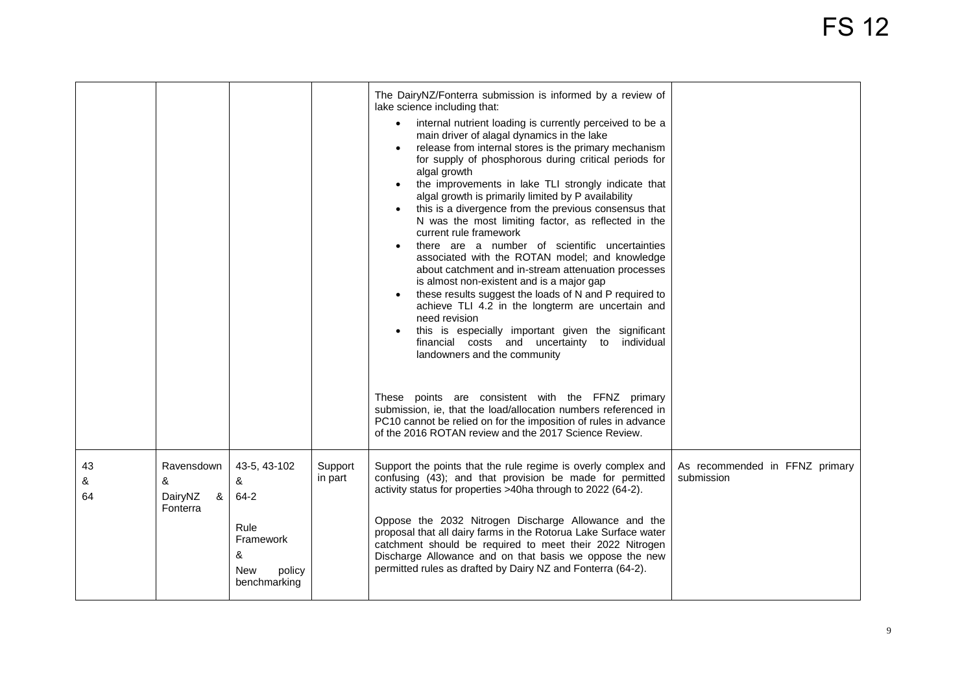## FS 12

|               |                                             |                                                                                          |                    | The DairyNZ/Fonterra submission is informed by a review of<br>lake science including that:<br>internal nutrient loading is currently perceived to be a<br>$\bullet$<br>main driver of alagal dynamics in the lake<br>release from internal stores is the primary mechanism<br>for supply of phosphorous during critical periods for<br>algal growth<br>the improvements in lake TLI strongly indicate that<br>$\bullet$<br>algal growth is primarily limited by P availability<br>this is a divergence from the previous consensus that<br>$\bullet$<br>N was the most limiting factor, as reflected in the<br>current rule framework<br>there are a number of scientific uncertainties<br>associated with the ROTAN model; and knowledge<br>about catchment and in-stream attenuation processes<br>is almost non-existent and is a major gap<br>these results suggest the loads of N and P required to<br>$\bullet$<br>achieve TLI 4.2 in the longterm are uncertain and<br>need revision<br>this is especially important given the significant<br>financial costs and uncertainty to individual<br>landowners and the community<br>These points are consistent with the FFNZ primary<br>submission, ie, that the load/allocation numbers referenced in<br>PC10 cannot be relied on for the imposition of rules in advance<br>of the 2016 ROTAN review and the 2017 Science Review. |                                              |
|---------------|---------------------------------------------|------------------------------------------------------------------------------------------|--------------------|--------------------------------------------------------------------------------------------------------------------------------------------------------------------------------------------------------------------------------------------------------------------------------------------------------------------------------------------------------------------------------------------------------------------------------------------------------------------------------------------------------------------------------------------------------------------------------------------------------------------------------------------------------------------------------------------------------------------------------------------------------------------------------------------------------------------------------------------------------------------------------------------------------------------------------------------------------------------------------------------------------------------------------------------------------------------------------------------------------------------------------------------------------------------------------------------------------------------------------------------------------------------------------------------------------------------------------------------------------------------------------------|----------------------------------------------|
| 43<br>&<br>64 | Ravensdown<br>&<br>DairyNZ<br>&<br>Fonterra | 43-5, 43-102<br>&<br>$64 - 2$<br>Rule<br>Framework<br>&<br>New<br>policy<br>benchmarking | Support<br>in part | Support the points that the rule regime is overly complex and<br>confusing (43); and that provision be made for permitted<br>activity status for properties >40ha through to 2022 (64-2).<br>Oppose the 2032 Nitrogen Discharge Allowance and the<br>proposal that all dairy farms in the Rotorua Lake Surface water<br>catchment should be required to meet their 2022 Nitrogen<br>Discharge Allowance and on that basis we oppose the new<br>permitted rules as drafted by Dairy NZ and Fonterra (64-2).                                                                                                                                                                                                                                                                                                                                                                                                                                                                                                                                                                                                                                                                                                                                                                                                                                                                           | As recommended in FFNZ primary<br>submission |